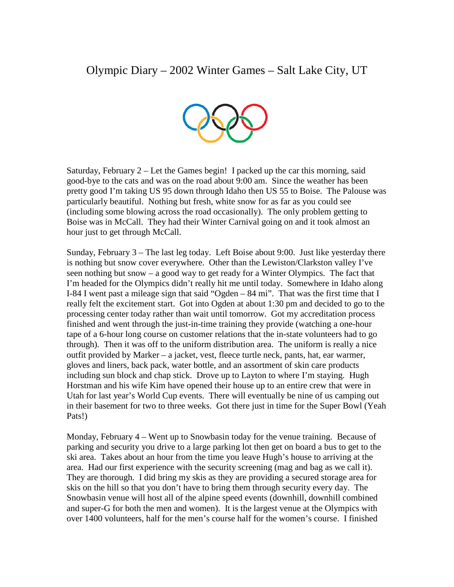## Olympic Diary – 2002 Winter Games – Salt Lake City, UT



Saturday, February  $2 -$  Let the Games begin! I packed up the car this morning, said good-bye to the cats and was on the road about 9:00 am. Since the weather has been pretty good I'm taking US 95 down through Idaho then US 55 to Boise. The Palouse was particularly beautiful. Nothing but fresh, white snow for as far as you could see (including some blowing across the road occasionally). The only problem getting to Boise was in McCall. They had their Winter Carnival going on and it took almost an hour just to get through McCall.

Sunday, February 3 – The last leg today. Left Boise about 9:00. Just like yesterday there is nothing but snow cover everywhere. Other than the Lewiston/Clarkston valley I've seen nothing but snow – a good way to get ready for a Winter Olympics. The fact that I'm headed for the Olympics didn't really hit me until today. Somewhere in Idaho along I-84 I went past a mileage sign that said "Ogden – 84 mi". That was the first time that I really felt the excitement start. Got into Ogden at about 1:30 pm and decided to go to the processing center today rather than wait until tomorrow. Got my accreditation process finished and went through the just-in-time training they provide (watching a one-hour tape of a 6-hour long course on customer relations that the in-state volunteers had to go through). Then it was off to the uniform distribution area. The uniform is really a nice outfit provided by Marker – a jacket, vest, fleece turtle neck, pants, hat, ear warmer, gloves and liners, back pack, water bottle, and an assortment of skin care products including sun block and chap stick. Drove up to Layton to where I'm staying. Hugh Horstman and his wife Kim have opened their house up to an entire crew that were in Utah for last year's World Cup events. There will eventually be nine of us camping out in their basement for two to three weeks. Got there just in time for the Super Bowl (Yeah Pats!)

Monday, February 4 – Went up to Snowbasin today for the venue training. Because of parking and security you drive to a large parking lot then get on board a bus to get to the ski area. Takes about an hour from the time you leave Hugh's house to arriving at the area. Had our first experience with the security screening (mag and bag as we call it). They are thorough. I did bring my skis as they are providing a secured storage area for skis on the hill so that you don't have to bring them through security every day. The Snowbasin venue will host all of the alpine speed events (downhill, downhill combined and super-G for both the men and women). It is the largest venue at the Olympics with over 1400 volunteers, half for the men's course half for the women's course. I finished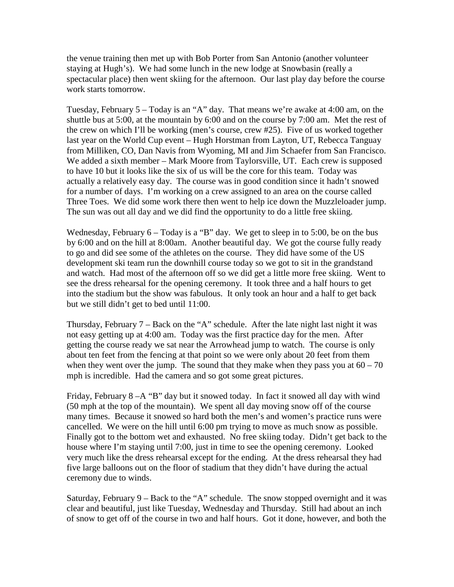the venue training then met up with Bob Porter from San Antonio (another volunteer staying at Hugh's). We had some lunch in the new lodge at Snowbasin (really a spectacular place) then went skiing for the afternoon. Our last play day before the course work starts tomorrow.

Tuesday, February 5 – Today is an "A" day. That means we're awake at 4:00 am, on the shuttle bus at 5:00, at the mountain by 6:00 and on the course by 7:00 am. Met the rest of the crew on which I'll be working (men's course, crew #25). Five of us worked together last year on the World Cup event – Hugh Horstman from Layton, UT, Rebecca Tanguay from Milliken, CO, Dan Navis from Wyoming, MI and Jim Schaefer from San Francisco. We added a sixth member – Mark Moore from Taylorsville, UT. Each crew is supposed to have 10 but it looks like the six of us will be the core for this team. Today was actually a relatively easy day. The course was in good condition since it hadn't snowed for a number of days. I'm working on a crew assigned to an area on the course called Three Toes. We did some work there then went to help ice down the Muzzleloader jump. The sun was out all day and we did find the opportunity to do a little free skiing.

Wednesday, February 6 – Today is a "B" day. We get to sleep in to 5:00, be on the bus by 6:00 and on the hill at 8:00am. Another beautiful day. We got the course fully ready to go and did see some of the athletes on the course. They did have some of the US development ski team run the downhill course today so we got to sit in the grandstand and watch. Had most of the afternoon off so we did get a little more free skiing. Went to see the dress rehearsal for the opening ceremony. It took three and a half hours to get into the stadium but the show was fabulous. It only took an hour and a half to get back but we still didn't get to bed until 11:00.

Thursday, February  $7 - Back$  on the "A" schedule. After the late night last night it was not easy getting up at 4:00 am. Today was the first practice day for the men. After getting the course ready we sat near the Arrowhead jump to watch. The course is only about ten feet from the fencing at that point so we were only about 20 feet from them when they went over the jump. The sound that they make when they pass you at  $60 - 70$ mph is incredible. Had the camera and so got some great pictures.

Friday, February 8 –A "B" day but it snowed today. In fact it snowed all day with wind (50 mph at the top of the mountain). We spent all day moving snow off of the course many times. Because it snowed so hard both the men's and women's practice runs were cancelled. We were on the hill until 6:00 pm trying to move as much snow as possible. Finally got to the bottom wet and exhausted. No free skiing today. Didn't get back to the house where I'm staying until 7:00, just in time to see the opening ceremony. Looked very much like the dress rehearsal except for the ending. At the dress rehearsal they had five large balloons out on the floor of stadium that they didn't have during the actual ceremony due to winds.

Saturday, February  $9 -$ Back to the "A" schedule. The snow stopped overnight and it was clear and beautiful, just like Tuesday, Wednesday and Thursday. Still had about an inch of snow to get off of the course in two and half hours. Got it done, however, and both the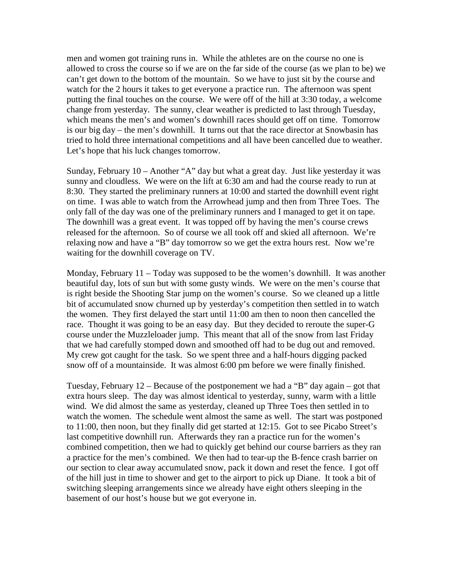men and women got training runs in. While the athletes are on the course no one is allowed to cross the course so if we are on the far side of the course (as we plan to be) we can't get down to the bottom of the mountain. So we have to just sit by the course and watch for the 2 hours it takes to get everyone a practice run. The afternoon was spent putting the final touches on the course. We were off of the hill at 3:30 today, a welcome change from yesterday. The sunny, clear weather is predicted to last through Tuesday, which means the men's and women's downhill races should get off on time. Tomorrow is our big day – the men's downhill. It turns out that the race director at Snowbasin has tried to hold three international competitions and all have been cancelled due to weather. Let's hope that his luck changes tomorrow.

Sunday, February 10 – Another "A" day but what a great day. Just like yesterday it was sunny and cloudless. We were on the lift at 6:30 am and had the course ready to run at 8:30. They started the preliminary runners at 10:00 and started the downhill event right on time. I was able to watch from the Arrowhead jump and then from Three Toes. The only fall of the day was one of the preliminary runners and I managed to get it on tape. The downhill was a great event. It was topped off by having the men's course crews released for the afternoon. So of course we all took off and skied all afternoon. We're relaxing now and have a "B" day tomorrow so we get the extra hours rest. Now we're waiting for the downhill coverage on TV.

Monday, February 11 – Today was supposed to be the women's downhill. It was another beautiful day, lots of sun but with some gusty winds. We were on the men's course that is right beside the Shooting Star jump on the women's course. So we cleaned up a little bit of accumulated snow churned up by yesterday's competition then settled in to watch the women. They first delayed the start until 11:00 am then to noon then cancelled the race. Thought it was going to be an easy day. But they decided to reroute the super-G course under the Muzzleloader jump. This meant that all of the snow from last Friday that we had carefully stomped down and smoothed off had to be dug out and removed. My crew got caught for the task. So we spent three and a half-hours digging packed snow off of a mountainside. It was almost 6:00 pm before we were finally finished.

Tuesday, February 12 – Because of the postponement we had a "B" day again – got that extra hours sleep. The day was almost identical to yesterday, sunny, warm with a little wind. We did almost the same as yesterday, cleaned up Three Toes then settled in to watch the women. The schedule went almost the same as well. The start was postponed to 11:00, then noon, but they finally did get started at 12:15. Got to see Picabo Street's last competitive downhill run. Afterwards they ran a practice run for the women's combined competition, then we had to quickly get behind our course barriers as they ran a practice for the men's combined. We then had to tear-up the B-fence crash barrier on our section to clear away accumulated snow, pack it down and reset the fence. I got off of the hill just in time to shower and get to the airport to pick up Diane. It took a bit of switching sleeping arrangements since we already have eight others sleeping in the basement of our host's house but we got everyone in.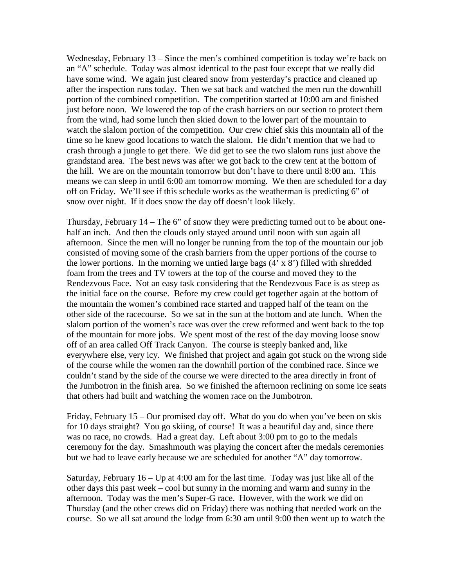Wednesday, February 13 – Since the men's combined competition is today we're back on an "A" schedule. Today was almost identical to the past four except that we really did have some wind. We again just cleared snow from yesterday's practice and cleaned up after the inspection runs today. Then we sat back and watched the men run the downhill portion of the combined competition. The competition started at 10:00 am and finished just before noon. We lowered the top of the crash barriers on our section to protect them from the wind, had some lunch then skied down to the lower part of the mountain to watch the slalom portion of the competition. Our crew chief skis this mountain all of the time so he knew good locations to watch the slalom. He didn't mention that we had to crash through a jungle to get there. We did get to see the two slalom runs just above the grandstand area. The best news was after we got back to the crew tent at the bottom of the hill. We are on the mountain tomorrow but don't have to there until 8:00 am. This means we can sleep in until 6:00 am tomorrow morning. We then are scheduled for a day off on Friday. We'll see if this schedule works as the weatherman is predicting 6" of snow over night. If it does snow the day off doesn't look likely.

Thursday, February  $14$  – The 6" of snow they were predicting turned out to be about onehalf an inch. And then the clouds only stayed around until noon with sun again all afternoon. Since the men will no longer be running from the top of the mountain our job consisted of moving some of the crash barriers from the upper portions of the course to the lower portions. In the morning we untied large bags  $(4' \times 8')$  filled with shredded foam from the trees and TV towers at the top of the course and moved they to the Rendezvous Face. Not an easy task considering that the Rendezvous Face is as steep as the initial face on the course. Before my crew could get together again at the bottom of the mountain the women's combined race started and trapped half of the team on the other side of the racecourse. So we sat in the sun at the bottom and ate lunch. When the slalom portion of the women's race was over the crew reformed and went back to the top of the mountain for more jobs. We spent most of the rest of the day moving loose snow off of an area called Off Track Canyon. The course is steeply banked and, like everywhere else, very icy. We finished that project and again got stuck on the wrong side of the course while the women ran the downhill portion of the combined race. Since we couldn't stand by the side of the course we were directed to the area directly in front of the Jumbotron in the finish area. So we finished the afternoon reclining on some ice seats that others had built and watching the women race on the Jumbotron.

Friday, February 15 – Our promised day off. What do you do when you've been on skis for 10 days straight? You go skiing, of course! It was a beautiful day and, since there was no race, no crowds. Had a great day. Left about 3:00 pm to go to the medals ceremony for the day. Smashmouth was playing the concert after the medals ceremonies but we had to leave early because we are scheduled for another "A" day tomorrow.

Saturday, February 16 – Up at 4:00 am for the last time. Today was just like all of the other days this past week – cool but sunny in the morning and warm and sunny in the afternoon. Today was the men's Super-G race. However, with the work we did on Thursday (and the other crews did on Friday) there was nothing that needed work on the course. So we all sat around the lodge from 6:30 am until 9:00 then went up to watch the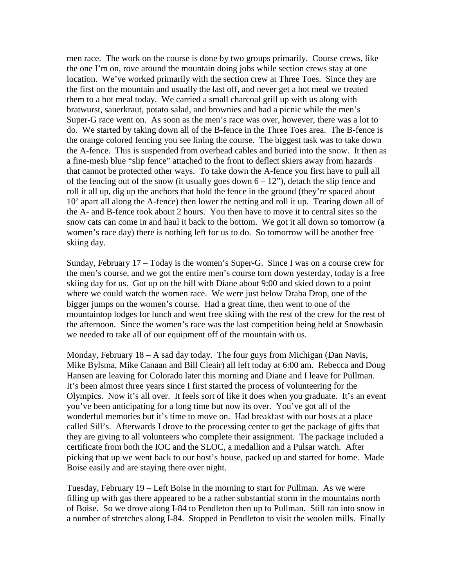men race. The work on the course is done by two groups primarily. Course crews, like the one I'm on, rove around the mountain doing jobs while section crews stay at one location. We've worked primarily with the section crew at Three Toes. Since they are the first on the mountain and usually the last off, and never get a hot meal we treated them to a hot meal today. We carried a small charcoal grill up with us along with bratwurst, sauerkraut, potato salad, and brownies and had a picnic while the men's Super-G race went on. As soon as the men's race was over, however, there was a lot to do. We started by taking down all of the B-fence in the Three Toes area. The B-fence is the orange colored fencing you see lining the course. The biggest task was to take down the A-fence. This is suspended from overhead cables and buried into the snow. It then as a fine-mesh blue "slip fence" attached to the front to deflect skiers away from hazards that cannot be protected other ways. To take down the A-fence you first have to pull all of the fencing out of the snow (it usually goes down  $6 - 12$ "), detach the slip fence and roll it all up, dig up the anchors that hold the fence in the ground (they're spaced about 10' apart all along the A-fence) then lower the netting and roll it up. Tearing down all of the A- and B-fence took about 2 hours. You then have to move it to central sites so the snow cats can come in and haul it back to the bottom. We got it all down so tomorrow (a women's race day) there is nothing left for us to do. So tomorrow will be another free skiing day.

Sunday, February 17 – Today is the women's Super-G. Since I was on a course crew for the men's course, and we got the entire men's course torn down yesterday, today is a free skiing day for us. Got up on the hill with Diane about 9:00 and skied down to a point where we could watch the women race. We were just below Draba Drop, one of the bigger jumps on the women's course. Had a great time, then went to one of the mountaintop lodges for lunch and went free skiing with the rest of the crew for the rest of the afternoon. Since the women's race was the last competition being held at Snowbasin we needed to take all of our equipment off of the mountain with us.

Monday, February 18 – A sad day today. The four guys from Michigan (Dan Navis, Mike Bylsma, Mike Canaan and Bill Cleair) all left today at 6:00 am. Rebecca and Doug Hansen are leaving for Colorado later this morning and Diane and I leave for Pullman. It's been almost three years since I first started the process of volunteering for the Olympics. Now it's all over. It feels sort of like it does when you graduate. It's an event you've been anticipating for a long time but now its over. You've got all of the wonderful memories but it's time to move on. Had breakfast with our hosts at a place called Sill's. Afterwards I drove to the processing center to get the package of gifts that they are giving to all volunteers who complete their assignment. The package included a certificate from both the IOC and the SLOC, a medallion and a Pulsar watch. After picking that up we went back to our host's house, packed up and started for home. Made Boise easily and are staying there over night.

Tuesday, February 19 – Left Boise in the morning to start for Pullman. As we were filling up with gas there appeared to be a rather substantial storm in the mountains north of Boise. So we drove along I-84 to Pendleton then up to Pullman. Still ran into snow in a number of stretches along I-84. Stopped in Pendleton to visit the woolen mills. Finally